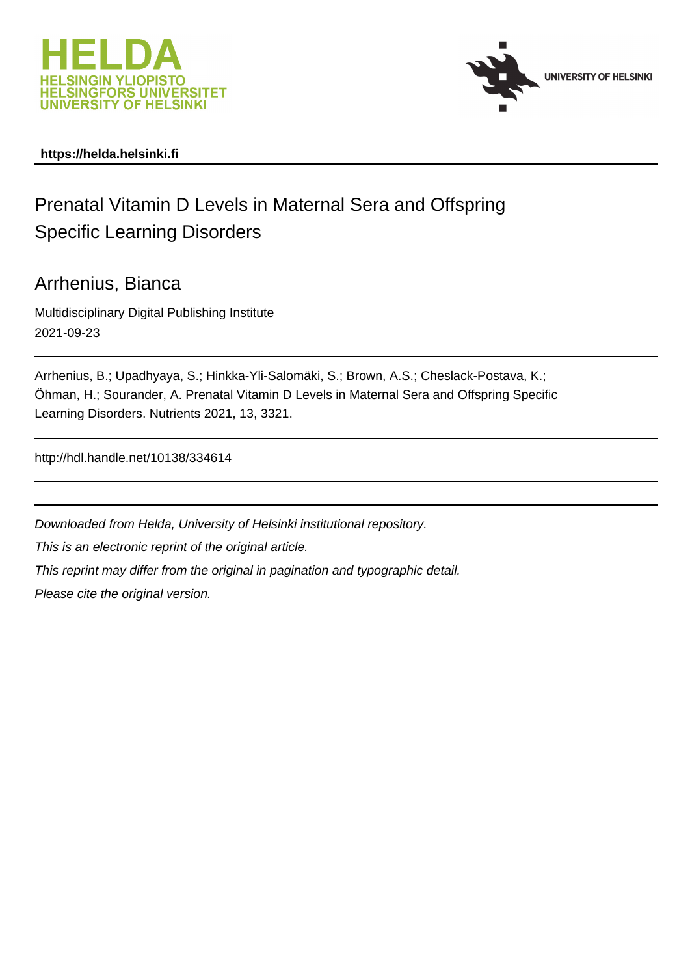



### **https://helda.helsinki.fi**

# Prenatal Vitamin D Levels in Maternal Sera and Offspring Specific Learning Disorders

### Arrhenius, Bianca

Multidisciplinary Digital Publishing Institute 2021-09-23

Arrhenius, B.; Upadhyaya, S.; Hinkka-Yli-Salomäki, S.; Brown, A.S.; Cheslack-Postava, K.; Öhman, H.; Sourander, A. Prenatal Vitamin D Levels in Maternal Sera and Offspring Specific Learning Disorders. Nutrients 2021, 13, 3321.

http://hdl.handle.net/10138/334614

Downloaded from Helda, University of Helsinki institutional repository. This is an electronic reprint of the original article. This reprint may differ from the original in pagination and typographic detail. Please cite the original version.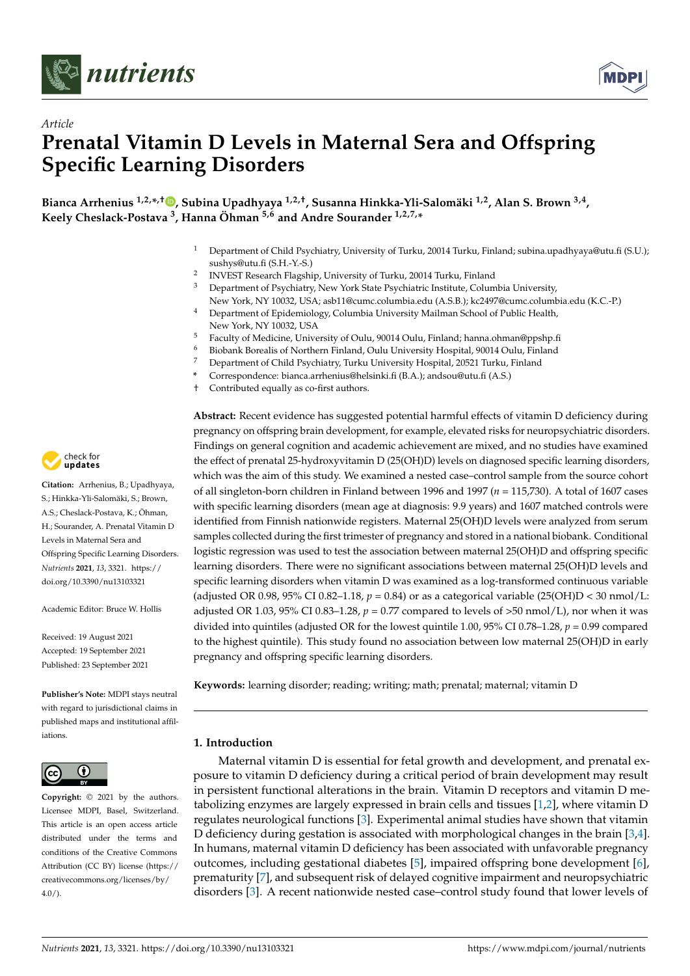

*Article*



# **Prenatal Vitamin D Levels in Maternal Sera and Offspring Specific Learning Disorders**

**Bianca Arrhenius 1,2,\* ,† [,](https://orcid.org/0000-0002-2715-1533) Subina Upadhyaya 1,2,†, Susanna Hinkka-Yli-Salomäki 1,2, Alan S. Brown 3,4 , Keely Cheslack-Postava <sup>3</sup> , Hanna Öhman 5,6 and Andre Sourander 1,2,7,\***

- <sup>1</sup> Department of Child Psychiatry, University of Turku, 20014 Turku, Finland; subina.upadhyaya@utu.fi (S.U.); sushys@utu.fi (S.H.-Y.-S.)
- 2 INVEST Research Flagship, University of Turku, 20014 Turku, Finland
- <sup>3</sup> Department of Psychiatry, New York State Psychiatric Institute, Columbia University, New York, NY 10032, USA; asb11@cumc.columbia.edu (A.S.B.); kc2497@cumc.columbia.edu (K.C.-P.)
- <sup>4</sup> Department of Epidemiology, Columbia University Mailman School of Public Health, New York, NY 10032, USA
- <sup>5</sup> Faculty of Medicine, University of Oulu, 90014 Oulu, Finland; hanna.ohman@ppshp.fi
- <sup>6</sup> Biobank Borealis of Northern Finland, Oulu University Hospital, 90014 Oulu, Finland
- <sup>7</sup> Department of Child Psychiatry, Turku University Hospital, 20521 Turku, Finland
- **\*** Correspondence: bianca.arrhenius@helsinki.fi (B.A.); andsou@utu.fi (A.S.)
- † Contributed equally as co-first authors.

**Abstract:** Recent evidence has suggested potential harmful effects of vitamin D deficiency during pregnancy on offspring brain development, for example, elevated risks for neuropsychiatric disorders. Findings on general cognition and academic achievement are mixed, and no studies have examined the effect of prenatal 25-hydroxyvitamin D (25(OH)D) levels on diagnosed specific learning disorders, which was the aim of this study. We examined a nested case–control sample from the source cohort of all singleton-born children in Finland between 1996 and 1997 (*n* = 115,730). A total of 1607 cases with specific learning disorders (mean age at diagnosis: 9.9 years) and 1607 matched controls were identified from Finnish nationwide registers. Maternal 25(OH)D levels were analyzed from serum samples collected during the first trimester of pregnancy and stored in a national biobank. Conditional logistic regression was used to test the association between maternal 25(OH)D and offspring specific learning disorders. There were no significant associations between maternal 25(OH)D levels and specific learning disorders when vitamin D was examined as a log-transformed continuous variable (adjusted OR 0.98, 95% CI 0.82–1.18, *p* = 0.84) or as a categorical variable (25(OH)D < 30 nmol/L: adjusted OR 1.03, 95% CI 0.83–1.28,  $p = 0.77$  compared to levels of >50 nmol/L), nor when it was divided into quintiles (adjusted OR for the lowest quintile 1.00, 95% CI 0.78–1.28, *p* = 0.99 compared to the highest quintile). This study found no association between low maternal 25(OH)D in early pregnancy and offspring specific learning disorders.

**Keywords:** learning disorder; reading; writing; math; prenatal; maternal; vitamin D

#### **1. Introduction**

Maternal vitamin D is essential for fetal growth and development, and prenatal exposure to vitamin D deficiency during a critical period of brain development may result in persistent functional alterations in the brain. Vitamin D receptors and vitamin D metabolizing enzymes are largely expressed in brain cells and tissues [1,2], where vitamin D regulates neurological functions [3]. Experimental animal studies have shown that vitamin D deficiency during gestation is associated with morphological changes in the brain [3,4]. In humans, maternal vitamin D deficiency has been associated with unfavorable pregnancy outcomes, including gestational diabetes [5], impaired offspring bone development [6], prematurity [7], and subsequent risk of delayed cognitive impairment and neuropsychiatric disorders [3]. A recent nationwide nested case–control study found that lower levels of



**Citation:** Arrhenius, B.; Upadhyaya, S.; Hinkka-Yli-Salomäki, S.; Brown, A.S.; Cheslack-Postava, K.; Öhman, H.; Sourander, A. Prenatal Vitamin D Levels in Maternal Sera and Offspring Specific Learning Disorders. *Nutrients* **2021**, *13*, 3321. [https://](https://doi.org/10.3390/nu13103321) [doi.org/10.3390/nu13103321](https://doi.org/10.3390/nu13103321)

Academic Editor: Bruce W. Hollis

Received: 19 August 2021 Accepted: 19 September 2021 Published: 23 September 2021

**Publisher's Note:** MDPI stays neutral with regard to jurisdictional claims in published maps and institutional affiliations.



**Copyright:** © 2021 by the authors. Licensee MDPI, Basel, Switzerland. This article is an open access article distributed under the terms and conditions of the Creative Commons Attribution (CC BY) license (https:/[/](https://creativecommons.org/licenses/by/4.0/) [creativecommons.org/licenses/by/](https://creativecommons.org/licenses/by/4.0/)  $4.0/$ ).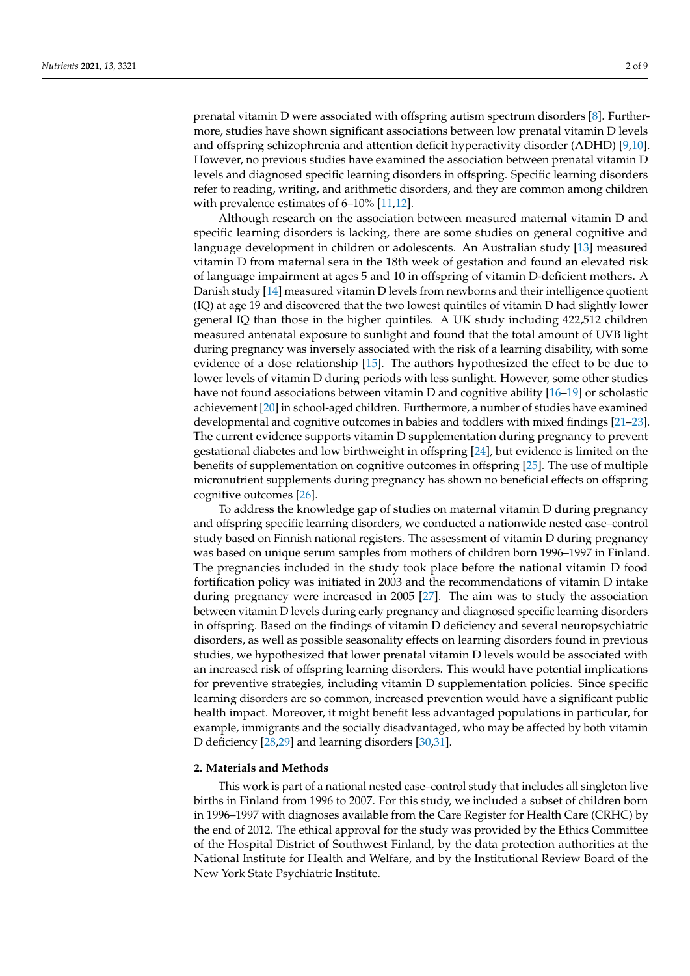prenatal vitamin D were associated with offspring autism spectrum disorders [8]. Furthermore, studies have shown significant associations between low prenatal vitamin D levels and offspring schizophrenia and attention deficit hyperactivity disorder (ADHD) [9,10]. However, no previous studies have examined the association between prenatal vitamin D levels and diagnosed specific learning disorders in offspring. Specific learning disorders refer to reading, writing, and arithmetic disorders, and they are common among children with prevalence estimates of 6–10% [11,12].

Although research on the association between measured maternal vitamin D and specific learning disorders is lacking, there are some studies on general cognitive and language development in children or adolescents. An Australian study [13] measured vitamin D from maternal sera in the 18th week of gestation and found an elevated risk of language impairment at ages 5 and 10 in offspring of vitamin D-deficient mothers. A Danish study [14] measured vitamin D levels from newborns and their intelligence quotient (IQ) at age 19 and discovered that the two lowest quintiles of vitamin D had slightly lower general IQ than those in the higher quintiles. A UK study including 422,512 children measured antenatal exposure to sunlight and found that the total amount of UVB light during pregnancy was inversely associated with the risk of a learning disability, with some evidence of a dose relationship [15]. The authors hypothesized the effect to be due to lower levels of vitamin D during periods with less sunlight. However, some other studies have not found associations between vitamin D and cognitive ability [16–19] or scholastic achievement [20] in school-aged children. Furthermore, a number of studies have examined developmental and cognitive outcomes in babies and toddlers with mixed findings [21–23]. The current evidence supports vitamin D supplementation during pregnancy to prevent gestational diabetes and low birthweight in offspring [24], but evidence is limited on the benefits of supplementation on cognitive outcomes in offspring [25]. The use of multiple micronutrient supplements during pregnancy has shown no beneficial effects on offspring cognitive outcomes [26].

To address the knowledge gap of studies on maternal vitamin D during pregnancy and offspring specific learning disorders, we conducted a nationwide nested case–control study based on Finnish national registers. The assessment of vitamin D during pregnancy was based on unique serum samples from mothers of children born 1996–1997 in Finland. The pregnancies included in the study took place before the national vitamin D food fortification policy was initiated in 2003 and the recommendations of vitamin D intake during pregnancy were increased in 2005 [27]. The aim was to study the association between vitamin D levels during early pregnancy and diagnosed specific learning disorders in offspring. Based on the findings of vitamin D deficiency and several neuropsychiatric disorders, as well as possible seasonality effects on learning disorders found in previous studies, we hypothesized that lower prenatal vitamin D levels would be associated with an increased risk of offspring learning disorders. This would have potential implications for preventive strategies, including vitamin D supplementation policies. Since specific learning disorders are so common, increased prevention would have a significant public health impact. Moreover, it might benefit less advantaged populations in particular, for example, immigrants and the socially disadvantaged, who may be affected by both vitamin D deficiency [28,29] and learning disorders [30,31].

#### **2. Materials and Methods**

This work is part of a national nested case–control study that includes all singleton live births in Finland from 1996 to 2007. For this study, we included a subset of children born in 1996–1997 with diagnoses available from the Care Register for Health Care (CRHC) by the end of 2012. The ethical approval for the study was provided by the Ethics Committee of the Hospital District of Southwest Finland, by the data protection authorities at the National Institute for Health and Welfare, and by the Institutional Review Board of the New York State Psychiatric Institute.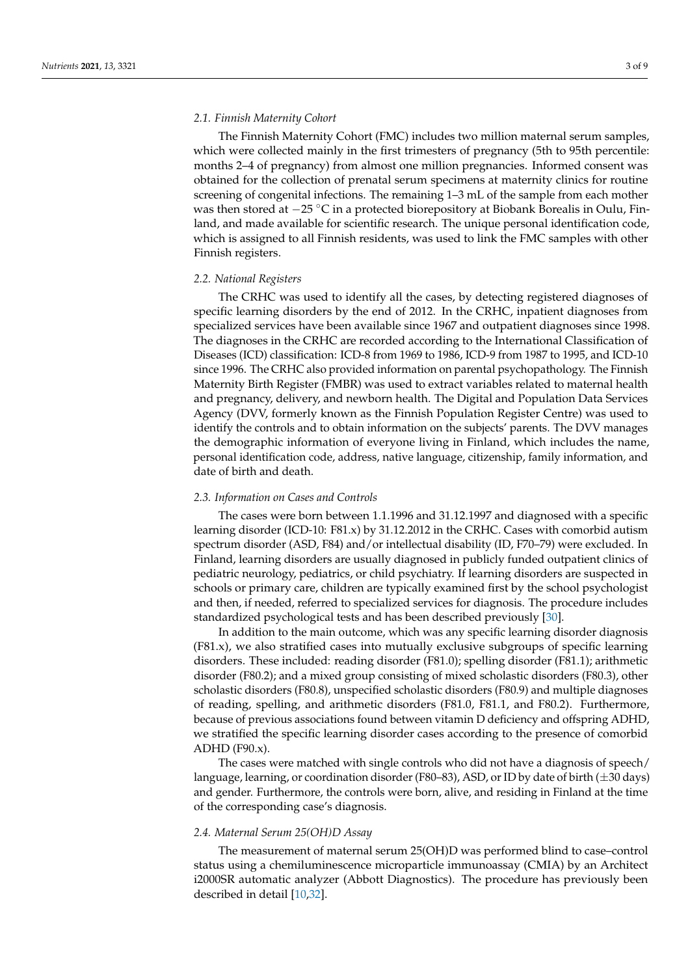#### *2.1. Finnish Maternity Cohort*

The Finnish Maternity Cohort (FMC) includes two million maternal serum samples, which were collected mainly in the first trimesters of pregnancy (5th to 95th percentile: months 2–4 of pregnancy) from almost one million pregnancies. Informed consent was obtained for the collection of prenatal serum specimens at maternity clinics for routine screening of congenital infections. The remaining 1–3 mL of the sample from each mother was then stored at  $-25$  °C in a protected biorepository at Biobank Borealis in Oulu, Finland, and made available for scientific research. The unique personal identification code, which is assigned to all Finnish residents, was used to link the FMC samples with other Finnish registers.

#### *2.2. National Registers*

The CRHC was used to identify all the cases, by detecting registered diagnoses of specific learning disorders by the end of 2012. In the CRHC, inpatient diagnoses from specialized services have been available since 1967 and outpatient diagnoses since 1998. The diagnoses in the CRHC are recorded according to the International Classification of Diseases (ICD) classification: ICD-8 from 1969 to 1986, ICD-9 from 1987 to 1995, and ICD-10 since 1996. The CRHC also provided information on parental psychopathology. The Finnish Maternity Birth Register (FMBR) was used to extract variables related to maternal health and pregnancy, delivery, and newborn health. The Digital and Population Data Services Agency (DVV, formerly known as the Finnish Population Register Centre) was used to identify the controls and to obtain information on the subjects' parents. The DVV manages the demographic information of everyone living in Finland, which includes the name, personal identification code, address, native language, citizenship, family information, and date of birth and death.

#### *2.3. Information on Cases and Controls*

The cases were born between 1.1.1996 and 31.12.1997 and diagnosed with a specific learning disorder (ICD-10: F81.x) by 31.12.2012 in the CRHC. Cases with comorbid autism spectrum disorder (ASD, F84) and/or intellectual disability (ID, F70–79) were excluded. In Finland, learning disorders are usually diagnosed in publicly funded outpatient clinics of pediatric neurology, pediatrics, or child psychiatry. If learning disorders are suspected in schools or primary care, children are typically examined first by the school psychologist and then, if needed, referred to specialized services for diagnosis. The procedure includes standardized psychological tests and has been described previously [30].

In addition to the main outcome, which was any specific learning disorder diagnosis (F81.x), we also stratified cases into mutually exclusive subgroups of specific learning disorders. These included: reading disorder (F81.0); spelling disorder (F81.1); arithmetic disorder (F80.2); and a mixed group consisting of mixed scholastic disorders (F80.3), other scholastic disorders (F80.8), unspecified scholastic disorders (F80.9) and multiple diagnoses of reading, spelling, and arithmetic disorders (F81.0, F81.1, and F80.2). Furthermore, because of previous associations found between vitamin D deficiency and offspring ADHD, we stratified the specific learning disorder cases according to the presence of comorbid  $ADHD$  (F90.x).

The cases were matched with single controls who did not have a diagnosis of speech/ language, learning, or coordination disorder (F80–83), ASD, or ID by date of birth  $(\pm 30 \text{ days})$ and gender. Furthermore, the controls were born, alive, and residing in Finland at the time of the corresponding case's diagnosis.

#### *2.4. Maternal Serum 25(OH)D Assay*

The measurement of maternal serum 25(OH)D was performed blind to case–control status using a chemiluminescence microparticle immunoassay (CMIA) by an Architect i2000SR automatic analyzer (Abbott Diagnostics). The procedure has previously been described in detail [10,32].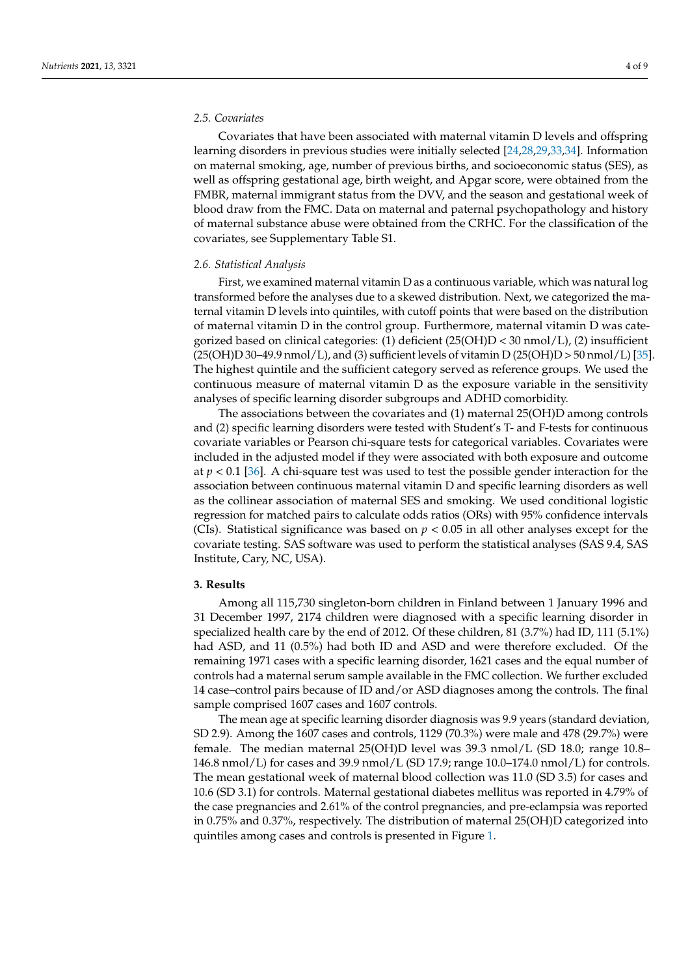#### *2.5. Covariates*

Covariates that have been associated with maternal vitamin D levels and offspring learning disorders in previous studies were initially selected [24,28,29,33,34]. Information on maternal smoking, age, number of previous births, and socioeconomic status (SES), as well as offspring gestational age, birth weight, and Apgar score, were obtained from the FMBR, maternal immigrant status from the DVV, and the season and gestational week of blood draw from the FMC. Data on maternal and paternal psychopathology and history of maternal substance abuse were obtained from the CRHC. For the classification of the covariates, see Supplementary Table S1.

#### *2.6. Statistical Analysis*

First, we examined maternal vitamin D as a continuous variable, which was natural log transformed before the analyses due to a skewed distribution. Next, we categorized the maternal vitamin D levels into quintiles, with cutoff points that were based on the distribution of maternal vitamin D in the control group. Furthermore, maternal vitamin D was categorized based on clinical categories: (1) deficient  $(25(OH)D < 30 \text{ nmol/L})$ , (2) insufficient  $(25(OH)D 30-49.9 \text{ nmol/L})$ , and (3) sufficient levels of vitamin D $(25(OH)D > 50 \text{ nmol/L})$  [35]. The highest quintile and the sufficient category served as reference groups. We used the continuous measure of maternal vitamin D as the exposure variable in the sensitivity analyses of specific learning disorder subgroups and ADHD comorbidity.

The associations between the covariates and (1) maternal 25(OH)D among controls and (2) specific learning disorders were tested with Student's T- and F-tests for continuous covariate variables or Pearson chi-square tests for categorical variables. Covariates were included in the adjusted model if they were associated with both exposure and outcome at *p* < 0.1 [36]. A chi-square test was used to test the possible gender interaction for the association between continuous maternal vitamin D and specific learning disorders as well as the collinear association of maternal SES and smoking. We used conditional logistic regression for matched pairs to calculate odds ratios (ORs) with 95% confidence intervals (CIs). Statistical significance was based on  $p < 0.05$  in all other analyses except for the covariate testing. SAS software was used to perform the statistical analyses (SAS 9.4, SAS Institute, Cary, NC, USA).

#### **3. Results**

Among all 115,730 singleton-born children in Finland between 1 January 1996 and 31 December 1997, 2174 children were diagnosed with a specific learning disorder in specialized health care by the end of 2012. Of these children, 81 (3.7%) had ID, 111 (5.1%) had ASD, and 11 (0.5%) had both ID and ASD and were therefore excluded. Of the remaining 1971 cases with a specific learning disorder, 1621 cases and the equal number of controls had a maternal serum sample available in the FMC collection. We further excluded 14 case–control pairs because of ID and/or ASD diagnoses among the controls. The final sample comprised 1607 cases and 1607 controls.

The mean age at specific learning disorder diagnosis was 9.9 years (standard deviation, SD 2.9). Among the 1607 cases and controls, 1129 (70.3%) were male and 478 (29.7%) were female. The median maternal 25(OH)D level was 39.3 nmol/L (SD 18.0; range 10.8– 146.8 nmol/L) for cases and 39.9 nmol/L (SD 17.9; range  $10.0-174.0$  nmol/L) for controls. The mean gestational week of maternal blood collection was 11.0 (SD 3.5) for cases and 10.6 (SD 3.1) for controls. Maternal gestational diabetes mellitus was reported in 4.79% of the case pregnancies and 2.61% of the control pregnancies, and pre-eclampsia was reported in 0.75% and 0.37%, respectively. The distribution of maternal 25(OH)D categorized into quintiles among cases and controls is presented in Figure 1.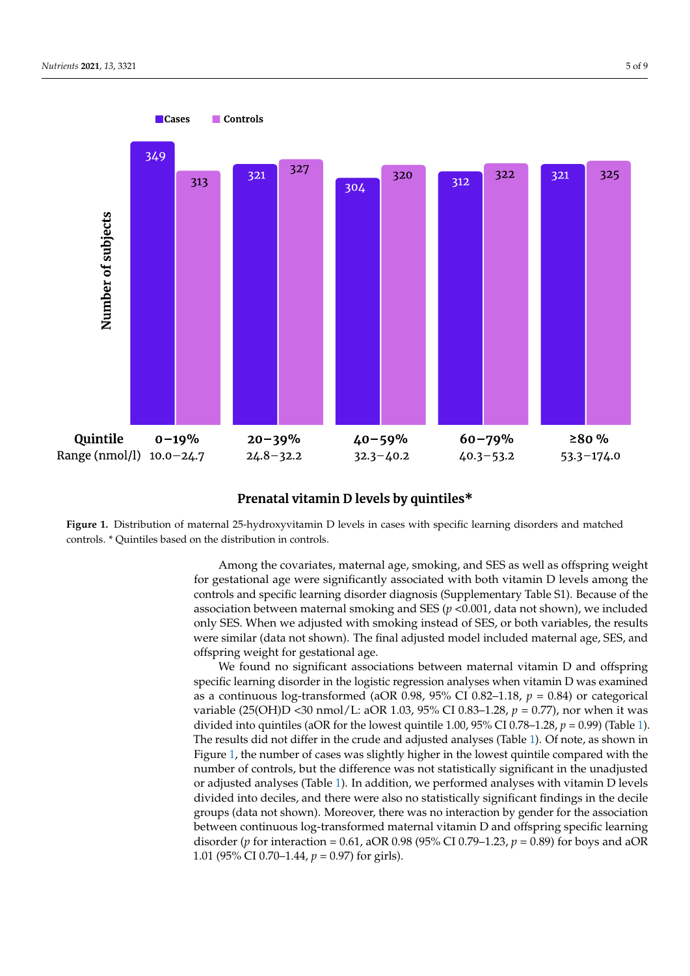

#### Prenatal vitamin D levels by quintiles\*

**Primary 1. Property 1. Considered as the distribution in controls** with specific learning disorders and matched controls. \* Quintiles based on the distribution in controls. controls. \* Quintiles based on the distribution in controls. **Figure 1.** Distribution of maternal 25-hydroxyvitamin D levels in cases with specific learning disorders and matched

> for gestational age were significantly associated with both vitamin D levels among the controls and specific learning disorder diagnosis (Supplementary Table S1). Because of the association between maternal smoking and SES ( $p$  <0.001, data not shown), we included only SES. When we adjusted with smoking instead of SES, or both variables, the results were similar (data not shown). The final adjusted model included maternal age, SES, and offspring weight for gestational age. The final and model included maternal age, and the final age of the final age. Among the covariates, maternal age, smoking, and SES as well as offspring weight

> We found no significant associations between maternal vitamin D and offspring specific learning disorder in the logistic regression analyses when vitamin D was examined as a continuous log-transformed (aOR 0.98, 95% CI 0.82–1.18,  $p = 0.84$ ) or categorical variable (25(OH)D <30 nmol/L: aOR 1.03, 95% CI 0.83–1.28, *p* = 0.77), nor when it was divided into quintiles (aOR for the lowest quintile 1.00, 95% CI 0.78–1.28,  $p = 0.99$ ) (Table 1). The results did not differ in the crude and adjusted analyses (Table 1). Of note, as shown in Figure 1, the number of cases was slightly higher in the lowest quintile compared with the number of controls, but the difference was not statistically significant in the unadjusted or adjusted analyses (Table 1). In addition, we performed analyses with vitamin D levels divided into deciles, and there were also no statistically significant findings in the decile groups (data not shown). Moreover, there was no interaction by gender for the association between continuous log-transformed maternal vitamin D and offspring specific learning disorder (*p* for interaction = 0.61, aOR 0.98 (95% CI 0.79–1.23, *p* = 0.89) for boys and aOR 1.01 (95% CI 0.70–1.44, *p* = 0.97) for girls).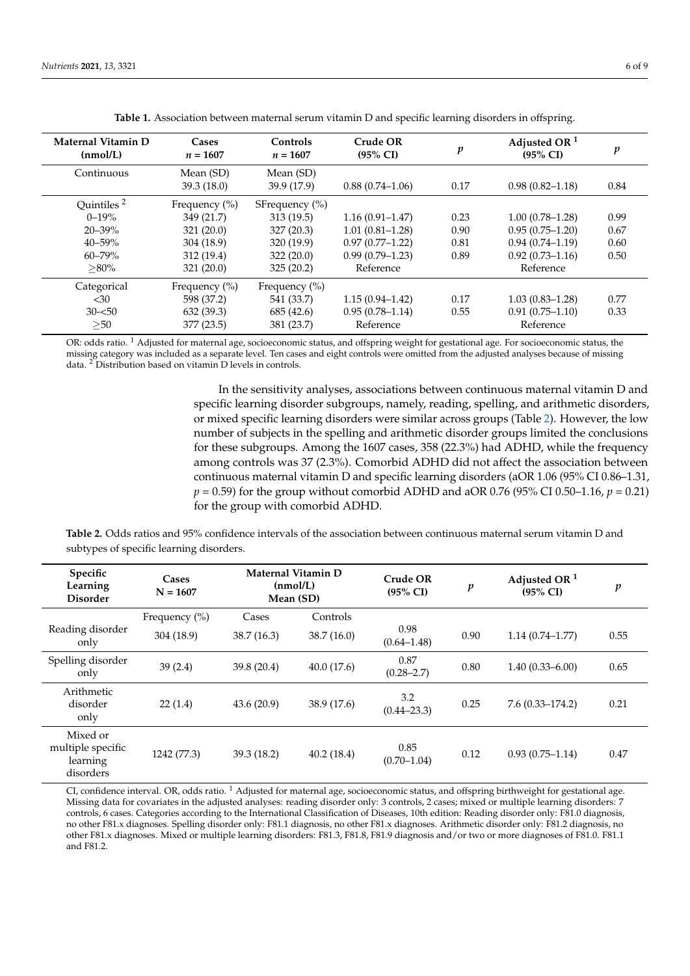| Maternal Vitamin D<br>(nmol/L) | Cases<br>$n = 1607$     | Controls<br>$n = 1607$   | Crude OR<br>$(95\% \text{ CI})$ | $\boldsymbol{p}$ | Adjusted OR $1$<br>$(95\% \text{ CI})$ |      |
|--------------------------------|-------------------------|--------------------------|---------------------------------|------------------|----------------------------------------|------|
| Continuous                     | Mean (SD)<br>39.3(18.0) | Mean (SD)<br>39.9 (17.9) | $0.88(0.74-1.06)$               | 0.17             | $0.98(0.82 - 1.18)$                    | 0.84 |
| Quintiles <sup>2</sup>         | Frequency $(\% )$       | SF requency $(\% )$      |                                 |                  |                                        |      |
| $0 - 19\%$                     | 349 (21.7)              | 313(19.5)                | $1.16(0.91 - 1.47)$             | 0.23             | $1.00(0.78 - 1.28)$                    | 0.99 |
| $20 - 39\%$                    | 321(20.0)               | 327(20.3)                | $1.01(0.81 - 1.28)$             | 0.90             | $0.95(0.75-1.20)$                      | 0.67 |
| $40 - 59\%$                    | 304 (18.9)              | 320 (19.9)               | $0.97(0.77 - 1.22)$             | 0.81             | $0.94(0.74 - 1.19)$                    | 0.60 |
| $60 - 79\%$                    | 312 (19.4)              | 322(20.0)                | $0.99(0.79 - 1.23)$             | 0.89             | $0.92(0.73 - 1.16)$                    | 0.50 |
| $>80\%$                        | 321(20.0)               | 325(20.2)                | Reference                       |                  | Reference                              |      |
| Categorical                    | Frequency (%)           | Frequency $(\%)$         |                                 |                  |                                        |      |
| $30$                           | 598 (37.2)              | 541 (33.7)               | $1.15(0.94 - 1.42)$             | 0.17             | $1.03(0.83 - 1.28)$                    | 0.77 |
| $30 - 50$                      | 632(39.3)               | 685 (42.6)               | $0.95(0.78 - 1.14)$             | 0.55             | $0.91(0.75 - 1.10)$                    | 0.33 |
| >50                            | 377 (23.5)              | 381 (23.7)               | Reference                       |                  | Reference                              |      |

**Table 1.** Association between maternal serum vitamin D and specific learning disorders in offspring.

OR: odds ratio. <sup>1</sup> Adjusted for maternal age, socioeconomic status, and offspring weight for gestational age. For socioeconomic status, the missing category was included as a separate level. Ten cases and eight controls were omitted from the adjusted analyses because of missing data. <sup>2</sup> Distribution based on vitamin D levels in controls.

> In the sensitivity analyses, associations between continuous maternal vitamin D and specific learning disorder subgroups, namely, reading, spelling, and arithmetic disorders, or mixed specific learning disorders were similar across groups (Table 2). However, the low number of subjects in the spelling and arithmetic disorder groups limited the conclusions for these subgroups. Among the 1607 cases, 358 (22.3%) had ADHD, while the frequency among controls was 37 (2.3%). Comorbid ADHD did not affect the association between continuous maternal vitamin D and specific learning disorders (aOR 1.06 (95% CI 0.86–1.31, *p* = 0.59) for the group without comorbid ADHD and aOR 0.76 (95% CI 0.50–1.16, *p* = 0.21) for the group with comorbid ADHD.

**Table 2.** Odds ratios and 95% confidence intervals of the association between continuous maternal serum vitamin D and subtypes of specific learning disorders.

| Specific<br>Learning<br><b>Disorder</b>                | Cases<br>$N = 1607$ | Maternal Vitamin D<br>(nmol/L)<br>Mean (SD) |             | Crude OR<br>$(95\% \text{ CI})$ | p    | Adjusted OR $1$<br>$(95\% \text{ CI})$ | $\boldsymbol{p}$ |
|--------------------------------------------------------|---------------------|---------------------------------------------|-------------|---------------------------------|------|----------------------------------------|------------------|
|                                                        | Frequency (%)       | Cases                                       | Controls    |                                 |      |                                        |                  |
| Reading disorder<br>only                               | 304 (18.9)          | 38.7 (16.3)                                 | 38.7(16.0)  | 0.98<br>$(0.64 - 1.48)$         | 0.90 | $1.14(0.74 - 1.77)$                    | 0.55             |
| Spelling disorder<br>only                              | 39(2.4)             | 39.8 (20.4)                                 | 40.0(17.6)  | 0.87<br>$(0.28 - 2.7)$          | 0.80 | $1.40(0.33 - 6.00)$                    | 0.65             |
| Arithmetic<br>disorder<br>only                         | 22(1.4)             | 43.6(20.9)                                  | 38.9 (17.6) | 3.2<br>$(0.44 - 23.3)$          | 0.25 | $7.6(0.33 - 174.2)$                    | 0.21             |
| Mixed or<br>multiple specific<br>learning<br>disorders | 1242 (77.3)         | 39.3 (18.2)                                 | 40.2(18.4)  | 0.85<br>$(0.70 - 1.04)$         | 0.12 | $0.93(0.75 - 1.14)$                    | 0.47             |

CI, confidence interval. OR, odds ratio.<sup>1</sup> Adjusted for maternal age, socioeconomic status, and offspring birthweight for gestational age. Missing data for covariates in the adjusted analyses: reading disorder only: 3 controls, 2 cases; mixed or multiple learning disorders: 7 controls, 6 cases. Categories according to the International Classification of Diseases, 10th edition: Reading disorder only: F81.0 diagnosis, no other F81.x diagnoses. Spelling disorder only: F81.1 diagnosis, no other F81.x diagnoses. Arithmetic disorder only: F81.2 diagnosis, no other F81.x diagnoses. Mixed or multiple learning disorders: F81.3, F81.8, F81.9 diagnosis and/or two or more diagnoses of F81.0. F81.1 and F81.2.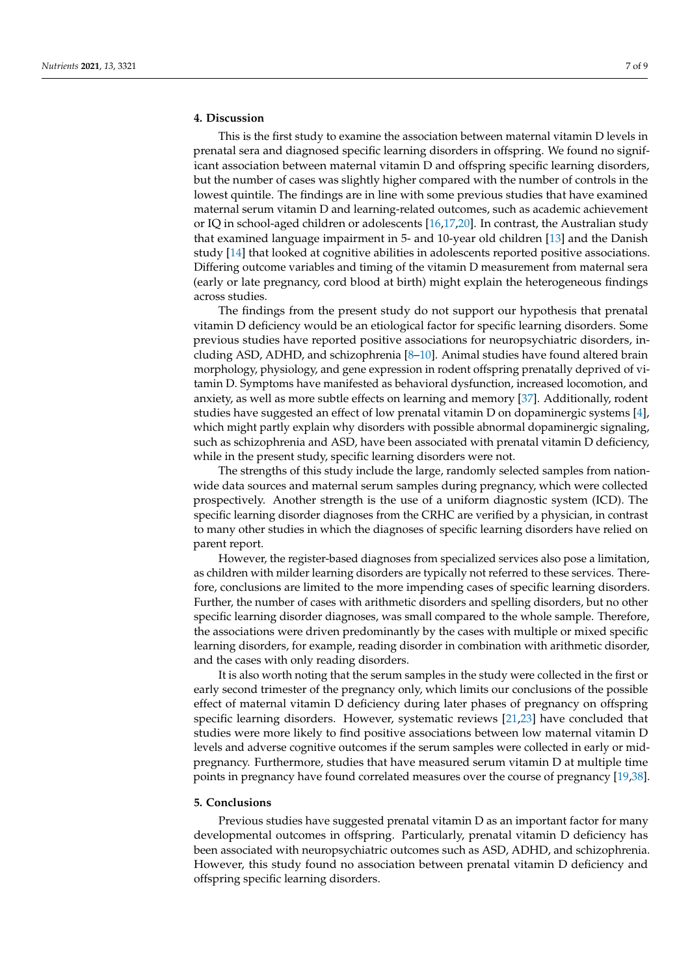#### **4. Discussion**

This is the first study to examine the association between maternal vitamin D levels in prenatal sera and diagnosed specific learning disorders in offspring. We found no significant association between maternal vitamin D and offspring specific learning disorders, but the number of cases was slightly higher compared with the number of controls in the lowest quintile. The findings are in line with some previous studies that have examined maternal serum vitamin D and learning-related outcomes, such as academic achievement or IQ in school-aged children or adolescents [16,17,20]. In contrast, the Australian study that examined language impairment in 5- and 10-year old children [13] and the Danish study [14] that looked at cognitive abilities in adolescents reported positive associations. Differing outcome variables and timing of the vitamin D measurement from maternal sera (early or late pregnancy, cord blood at birth) might explain the heterogeneous findings across studies.

The findings from the present study do not support our hypothesis that prenatal vitamin D deficiency would be an etiological factor for specific learning disorders. Some previous studies have reported positive associations for neuropsychiatric disorders, including ASD, ADHD, and schizophrenia [8–10]. Animal studies have found altered brain morphology, physiology, and gene expression in rodent offspring prenatally deprived of vitamin D. Symptoms have manifested as behavioral dysfunction, increased locomotion, and anxiety, as well as more subtle effects on learning and memory [37]. Additionally, rodent studies have suggested an effect of low prenatal vitamin D on dopaminergic systems [4], which might partly explain why disorders with possible abnormal dopaminergic signaling, such as schizophrenia and ASD, have been associated with prenatal vitamin D deficiency, while in the present study, specific learning disorders were not.

The strengths of this study include the large, randomly selected samples from nationwide data sources and maternal serum samples during pregnancy, which were collected prospectively. Another strength is the use of a uniform diagnostic system (ICD). The specific learning disorder diagnoses from the CRHC are verified by a physician, in contrast to many other studies in which the diagnoses of specific learning disorders have relied on parent report.

However, the register-based diagnoses from specialized services also pose a limitation, as children with milder learning disorders are typically not referred to these services. Therefore, conclusions are limited to the more impending cases of specific learning disorders. Further, the number of cases with arithmetic disorders and spelling disorders, but no other specific learning disorder diagnoses, was small compared to the whole sample. Therefore, the associations were driven predominantly by the cases with multiple or mixed specific learning disorders, for example, reading disorder in combination with arithmetic disorder, and the cases with only reading disorders.

It is also worth noting that the serum samples in the study were collected in the first or early second trimester of the pregnancy only, which limits our conclusions of the possible effect of maternal vitamin D deficiency during later phases of pregnancy on offspring specific learning disorders. However, systematic reviews [21,23] have concluded that studies were more likely to find positive associations between low maternal vitamin D levels and adverse cognitive outcomes if the serum samples were collected in early or midpregnancy. Furthermore, studies that have measured serum vitamin D at multiple time points in pregnancy have found correlated measures over the course of pregnancy [19,38].

#### **5. Conclusions**

Previous studies have suggested prenatal vitamin D as an important factor for many developmental outcomes in offspring. Particularly, prenatal vitamin D deficiency has been associated with neuropsychiatric outcomes such as ASD, ADHD, and schizophrenia. However, this study found no association between prenatal vitamin D deficiency and offspring specific learning disorders.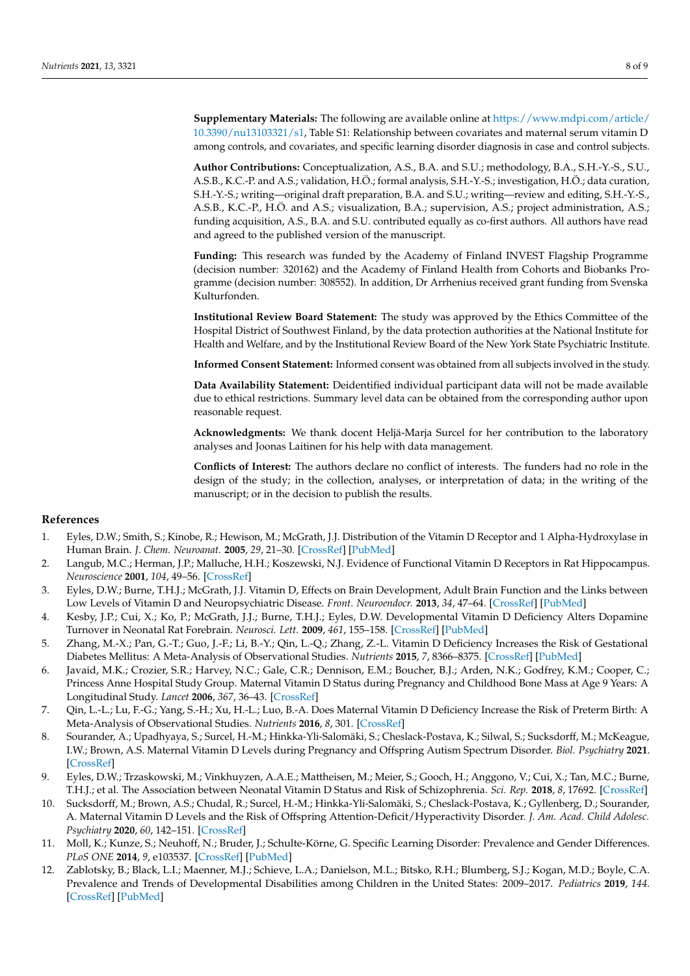**Supplementary Materials:** The following are available online at [https://www.mdpi.com/article/](https://www.mdpi.com/article/10.3390/nu13103321/s1) [10.3390/nu13103321/s1,](https://www.mdpi.com/article/10.3390/nu13103321/s1) Table S1: Relationship between covariates and maternal serum vitamin D among controls, and covariates, and specific learning disorder diagnosis in case and control subjects.

**Author Contributions:** Conceptualization, A.S., B.A. and S.U.; methodology, B.A., S.H.-Y.-S., S.U., A.S.B., K.C.-P. and A.S.; validation, H.Ö.; formal analysis, S.H.-Y.-S.; investigation, H.Ö.; data curation, S.H.-Y.-S.; writing—original draft preparation, B.A. and S.U.; writing—review and editing, S.H.-Y.-S., A.S.B., K.C.-P., H.Ö. and A.S.; visualization, B.A.; supervision, A.S.; project administration, A.S.; funding acquisition, A.S., B.A. and S.U. contributed equally as co-first authors. All authors have read and agreed to the published version of the manuscript.

**Funding:** This research was funded by the Academy of Finland INVEST Flagship Programme (decision number: 320162) and the Academy of Finland Health from Cohorts and Biobanks Programme (decision number: 308552). In addition, Dr Arrhenius received grant funding from Svenska Kulturfonden.

**Institutional Review Board Statement:** The study was approved by the Ethics Committee of the Hospital District of Southwest Finland, by the data protection authorities at the National Institute for Health and Welfare, and by the Institutional Review Board of the New York State Psychiatric Institute.

**Informed Consent Statement:** Informed consent was obtained from all subjects involved in the study.

**Data Availability Statement:** Deidentified individual participant data will not be made available due to ethical restrictions. Summary level data can be obtained from the corresponding author upon reasonable request.

**Acknowledgments:** We thank docent Heljä-Marja Surcel for her contribution to the laboratory analyses and Joonas Laitinen for his help with data management.

**Conflicts of Interest:** The authors declare no conflict of interests. The funders had no role in the design of the study; in the collection, analyses, or interpretation of data; in the writing of the manuscript; or in the decision to publish the results.

#### **References**

- 1. Eyles, D.W.; Smith, S.; Kinobe, R.; Hewison, M.; McGrath, J.J. Distribution of the Vitamin D Receptor and 1 Alpha-Hydroxylase in Human Brain. *J. Chem. Neuroanat.* **2005**, *29*, 21–30. [\[CrossRef\]](http://doi.org/10.1016/j.jchemneu.2004.08.006) [\[PubMed\]](http://www.ncbi.nlm.nih.gov/pubmed/15589699)
- 2. Langub, M.C.; Herman, J.P.; Malluche, H.H.; Koszewski, N.J. Evidence of Functional Vitamin D Receptors in Rat Hippocampus. *Neuroscience* **2001**, *104*, 49–56. [\[CrossRef\]](http://doi.org/10.1016/S0306-4522(01)00049-5)
- 3. Eyles, D.W.; Burne, T.H.J.; McGrath, J.J. Vitamin D, Effects on Brain Development, Adult Brain Function and the Links between Low Levels of Vitamin D and Neuropsychiatric Disease. *Front. Neuroendocr.* **2013**, *34*, 47–64. [\[CrossRef\]](http://doi.org/10.1016/j.yfrne.2012.07.001) [\[PubMed\]](http://www.ncbi.nlm.nih.gov/pubmed/22796576)
- 4. Kesby, J.P.; Cui, X.; Ko, P.; McGrath, J.J.; Burne, T.H.J.; Eyles, D.W. Developmental Vitamin D Deficiency Alters Dopamine Turnover in Neonatal Rat Forebrain. *Neurosci. Lett.* **2009**, *461*, 155–158. [\[CrossRef\]](http://doi.org/10.1016/j.neulet.2009.05.070) [\[PubMed\]](http://www.ncbi.nlm.nih.gov/pubmed/19500655)
- 5. Zhang, M.-X.; Pan, G.-T.; Guo, J.-F.; Li, B.-Y.; Qin, L.-Q.; Zhang, Z.-L. Vitamin D Deficiency Increases the Risk of Gestational Diabetes Mellitus: A Meta-Analysis of Observational Studies. *Nutrients* **2015**, *7*, 8366–8375. [\[CrossRef\]](http://doi.org/10.3390/nu7105398) [\[PubMed\]](http://www.ncbi.nlm.nih.gov/pubmed/26437429)
- 6. Javaid, M.K.; Crozier, S.R.; Harvey, N.C.; Gale, C.R.; Dennison, E.M.; Boucher, B.J.; Arden, N.K.; Godfrey, K.M.; Cooper, C.; Princess Anne Hospital Study Group. Maternal Vitamin D Status during Pregnancy and Childhood Bone Mass at Age 9 Years: A Longitudinal Study. *Lancet* **2006**, *367*, 36–43. [\[CrossRef\]](http://doi.org/10.1016/S0140-6736(06)67922-1)
- 7. Qin, L.-L.; Lu, F.-G.; Yang, S.-H.; Xu, H.-L.; Luo, B.-A. Does Maternal Vitamin D Deficiency Increase the Risk of Preterm Birth: A Meta-Analysis of Observational Studies. *Nutrients* **2016**, *8*, 301. [\[CrossRef\]](http://doi.org/10.3390/nu8050301)
- 8. Sourander, A.; Upadhyaya, S.; Surcel, H.-M.; Hinkka-Yli-Salomäki, S.; Cheslack-Postava, K.; Silwal, S.; Sucksdorff, M.; McKeague, I.W.; Brown, A.S. Maternal Vitamin D Levels during Pregnancy and Offspring Autism Spectrum Disorder. *Biol. Psychiatry* **2021**. [\[CrossRef\]](http://doi.org/10.1016/j.biopsych.2021.07.012)
- 9. Eyles, D.W.; Trzaskowski, M.; Vinkhuyzen, A.A.E.; Mattheisen, M.; Meier, S.; Gooch, H.; Anggono, V.; Cui, X.; Tan, M.C.; Burne, T.H.J.; et al. The Association between Neonatal Vitamin D Status and Risk of Schizophrenia. *Sci. Rep.* **2018**, *8*, 17692. [\[CrossRef\]](http://doi.org/10.1038/s41598-018-35418-z)
- 10. Sucksdorff, M.; Brown, A.S.; Chudal, R.; Surcel, H.-M.; Hinkka-Yli-Salomäki, S.; Cheslack-Postava, K.; Gyllenberg, D.; Sourander, A. Maternal Vitamin D Levels and the Risk of Offspring Attention-Deficit/Hyperactivity Disorder. *J. Am. Acad. Child Adolesc. Psychiatry* **2020**, *60*, 142–151. [\[CrossRef\]](http://doi.org/10.1016/j.jaac.2019.11.021)
- 11. Moll, K.; Kunze, S.; Neuhoff, N.; Bruder, J.; Schulte-Körne, G. Specific Learning Disorder: Prevalence and Gender Differences. *PLoS ONE* **2014**, *9*, e103537. [\[CrossRef\]](http://doi.org/10.1371/journal.pone.0103537) [\[PubMed\]](http://www.ncbi.nlm.nih.gov/pubmed/25072465)
- 12. Zablotsky, B.; Black, L.I.; Maenner, M.J.; Schieve, L.A.; Danielson, M.L.; Bitsko, R.H.; Blumberg, S.J.; Kogan, M.D.; Boyle, C.A. Prevalence and Trends of Developmental Disabilities among Children in the United States: 2009–2017. *Pediatrics* **2019**, *144*. [\[CrossRef\]](http://doi.org/10.1542/peds.2019-0811) [\[PubMed\]](http://www.ncbi.nlm.nih.gov/pubmed/31558576)